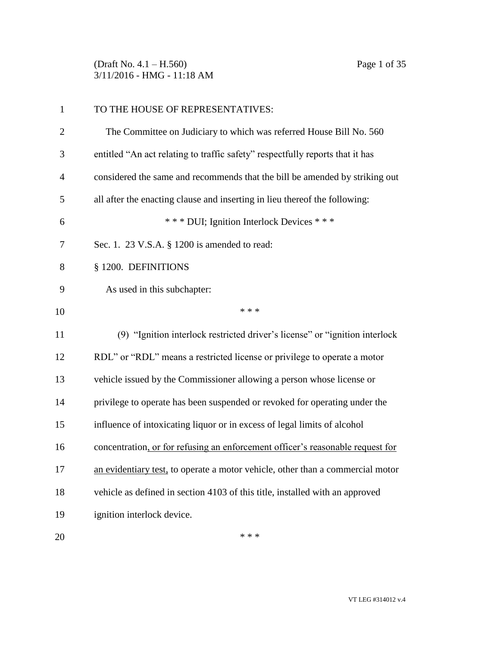(Draft No. 4.1 – H.560) Page 1 of 35 3/11/2016 - HMG - 11:18 AM

| $\mathbf{1}$   | TO THE HOUSE OF REPRESENTATIVES:                                               |
|----------------|--------------------------------------------------------------------------------|
| $\overline{2}$ | The Committee on Judiciary to which was referred House Bill No. 560            |
| 3              | entitled "An act relating to traffic safety" respectfully reports that it has  |
| $\overline{4}$ | considered the same and recommends that the bill be amended by striking out    |
| 5              | all after the enacting clause and inserting in lieu thereof the following:     |
| 6              | *** DUI; Ignition Interlock Devices ***                                        |
| 7              | Sec. 1. 23 V.S.A. § 1200 is amended to read:                                   |
| 8              | § 1200. DEFINITIONS                                                            |
| 9              | As used in this subchapter:                                                    |
| 10             | * * *                                                                          |
| 11             | (9) "Ignition interlock restricted driver's license" or "ignition interlock    |
| 12             | RDL" or "RDL" means a restricted license or privilege to operate a motor       |
| 13             | vehicle issued by the Commissioner allowing a person whose license or          |
| 14             | privilege to operate has been suspended or revoked for operating under the     |
| 15             | influence of intoxicating liquor or in excess of legal limits of alcohol       |
| 16             | concentration, or for refusing an enforcement officer's reasonable request for |
| 17             | an evidentiary test, to operate a motor vehicle, other than a commercial motor |
| 18             | vehicle as defined in section 4103 of this title, installed with an approved   |
| 19             | ignition interlock device.                                                     |
| 20             | * * *                                                                          |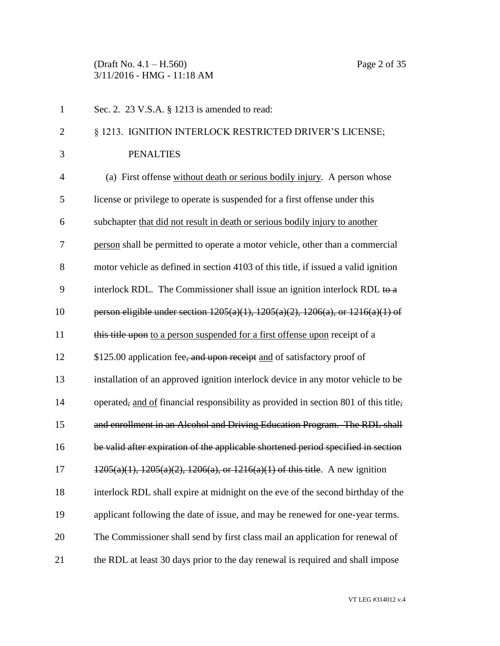(Draft No. 4.1 – H.560) Page 2 of 35 3/11/2016 - HMG - 11:18 AM

| $\mathbf{1}$   | Sec. 2. 23 V.S.A. § 1213 is amended to read:                                               |
|----------------|--------------------------------------------------------------------------------------------|
| $\overline{2}$ | § 1213. IGNITION INTERLOCK RESTRICTED DRIVER'S LICENSE;                                    |
| 3              | <b>PENALTIES</b>                                                                           |
| $\overline{4}$ | (a) First offense without death or serious bodily injury. A person whose                   |
| 5              | license or privilege to operate is suspended for a first offense under this                |
| 6              | subchapter that did not result in death or serious bodily injury to another                |
| 7              | person shall be permitted to operate a motor vehicle, other than a commercial              |
| 8              | motor vehicle as defined in section 4103 of this title, if issued a valid ignition         |
| 9              | interlock RDL. The Commissioner shall issue an ignition interlock RDL to a                 |
| 10             | person eligible under section $1205(a)(1)$ , $1205(a)(2)$ , $1206(a)$ , or $1216(a)(1)$ of |
| 11             | this title upon to a person suspended for a first offense upon receipt of a                |
| 12             | \$125.00 application fee <del>, and upon receipt</del> and of satisfactory proof of        |
| 13             | installation of an approved ignition interlock device in any motor vehicle to be           |
| 14             | operated, and of financial responsibility as provided in section 801 of this title,        |
| 15             | and enrollment in an Alcohol and Driving Education Program. The RDL shall                  |
| 16             | be valid after expiration of the applicable shortened period specified in section          |
| 17             | $1205(a)(1)$ , $1205(a)(2)$ , $1206(a)$ , or $1216(a)(1)$ of this title. A new ignition    |
| 18             | interlock RDL shall expire at midnight on the eve of the second birthday of the            |
| 19             | applicant following the date of issue, and may be renewed for one-year terms.              |
| 20             | The Commissioner shall send by first class mail an application for renewal of              |
| 21             | the RDL at least 30 days prior to the day renewal is required and shall impose             |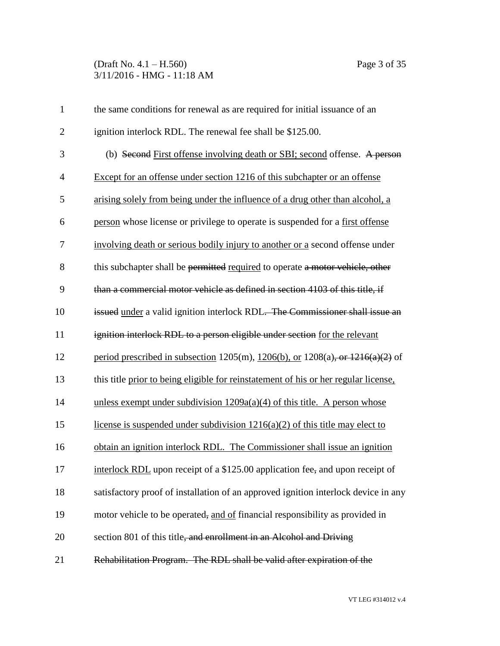# (Draft No. 4.1 – H.560) Page 3 of 35 3/11/2016 - HMG - 11:18 AM

| $\mathbf{1}$   | the same conditions for renewal as are required for initial issuance of an             |
|----------------|----------------------------------------------------------------------------------------|
| $\overline{2}$ | ignition interlock RDL. The renewal fee shall be \$125.00.                             |
| 3              | (b) Second First offense involving death or SBI; second offense. A person              |
| $\overline{4}$ | Except for an offense under section 1216 of this subchapter or an offense              |
| 5              | arising solely from being under the influence of a drug other than alcohol, a          |
| 6              | person whose license or privilege to operate is suspended for a first offense          |
| 7              | involving death or serious bodily injury to another or a second offense under          |
| 8              | this subchapter shall be permitted required to operate a motor vehicle, other          |
| 9              | than a commercial motor vehicle as defined in section 4103 of this title, if           |
| 10             | issued under a valid ignition interlock RDL. The Commissioner shall issue an           |
| 11             | ignition interlock RDL to a person eligible under section for the relevant             |
| 12             | period prescribed in subsection 1205(m), $1206(b)$ , or $1208(a)$ , or $1216(a)(2)$ of |
| 13             | this title prior to being eligible for reinstatement of his or her regular license,    |
| 14             | unless exempt under subdivision $1209a(a)(4)$ of this title. A person whose            |
| 15             | license is suspended under subdivision $1216(a)(2)$ of this title may elect to         |
| 16             | obtain an ignition interlock RDL. The Commissioner shall issue an ignition             |
| 17             | interlock RDL upon receipt of a \$125.00 application fee, and upon receipt of          |
| 18             | satisfactory proof of installation of an approved ignition interlock device in any     |
| 19             | motor vehicle to be operated, and of financial responsibility as provided in           |
| 20             | section 801 of this title, and enrollment in an Alcohol and Driving                    |
| 21             | Rehabilitation Program. The RDL shall be valid after expiration of the                 |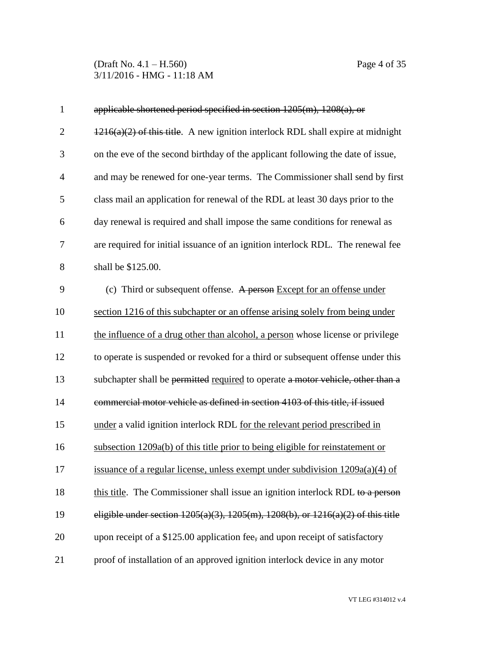(Draft No. 4.1 – H.560) Page 4 of 35 3/11/2016 - HMG - 11:18 AM

| 1            | applicable shortened period specified in section $1205(m)$ , $1208(a)$ , or                 |
|--------------|---------------------------------------------------------------------------------------------|
| $\mathbf{2}$ | $1216(a)(2)$ of this title. A new ignition interlock RDL shall expire at midnight           |
| 3            | on the eve of the second birthday of the applicant following the date of issue,             |
| 4            | and may be renewed for one-year terms. The Commissioner shall send by first                 |
| 5            | class mail an application for renewal of the RDL at least 30 days prior to the              |
| 6            | day renewal is required and shall impose the same conditions for renewal as                 |
| 7            | are required for initial issuance of an ignition interlock RDL. The renewal fee             |
| 8            | shall be \$125.00.                                                                          |
| 9            | (c) Third or subsequent offense. A person Except for an offense under                       |
| 10           | section 1216 of this subchapter or an offense arising solely from being under               |
| 11           | the influence of a drug other than alcohol, a person whose license or privilege             |
| 12           | to operate is suspended or revoked for a third or subsequent offense under this             |
| 13           | subchapter shall be permitted required to operate a motor vehicle, other than a             |
| 14           | commercial motor vehicle as defined in section 4103 of this title, if issued                |
| 15           | under a valid ignition interlock RDL for the relevant period prescribed in                  |
| 16           | subsection 1209a(b) of this title prior to being eligible for reinstatement or              |
| 17           | issuance of a regular license, unless exempt under subdivision 1209a(a)(4) of               |
| 18           | this title. The Commissioner shall issue an ignition interlock RDL to a person              |
| 19           | eligible under section $1205(a)(3)$ , $1205(m)$ , $1208(b)$ , or $1216(a)(2)$ of this title |
| 20           | upon receipt of a \$125.00 application fee, and upon receipt of satisfactory                |
| 21           | proof of installation of an approved ignition interlock device in any motor                 |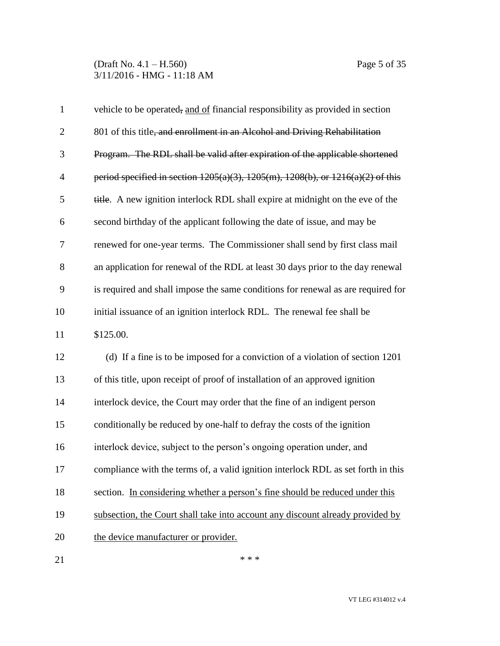| $\mathbf{1}$   | vehicle to be operated, and of financial responsibility as provided in section             |
|----------------|--------------------------------------------------------------------------------------------|
| $\overline{2}$ | 801 of this title, and enrollment in an Alcohol and Driving Rehabilitation                 |
| 3              | Program. The RDL shall be valid after expiration of the applicable shortened               |
| $\overline{4}$ | period specified in section $1205(a)(3)$ , $1205(m)$ , $1208(b)$ , or $1216(a)(2)$ of this |
| 5              | title. A new ignition interlock RDL shall expire at midnight on the eve of the             |
| 6              | second birthday of the applicant following the date of issue, and may be                   |
| 7              | renewed for one-year terms. The Commissioner shall send by first class mail                |
| 8              | an application for renewal of the RDL at least 30 days prior to the day renewal            |
| 9              | is required and shall impose the same conditions for renewal as are required for           |
| 10             | initial issuance of an ignition interlock RDL. The renewal fee shall be                    |
| 11             | \$125.00.                                                                                  |
| 12             | (d) If a fine is to be imposed for a conviction of a violation of section 1201             |
| 13             | of this title, upon receipt of proof of installation of an approved ignition               |
| 14             | interlock device, the Court may order that the fine of an indigent person                  |
| 15             | conditionally be reduced by one-half to defray the costs of the ignition                   |
| 16             | interlock device, subject to the person's ongoing operation under, and                     |
| 17             | compliance with the terms of, a valid ignition interlock RDL as set forth in this          |
| 18             | section. In considering whether a person's fine should be reduced under this               |
| 19             | subsection, the Court shall take into account any discount already provided by             |
| 20             | the device manufacturer or provider.                                                       |
| 21             | * * *                                                                                      |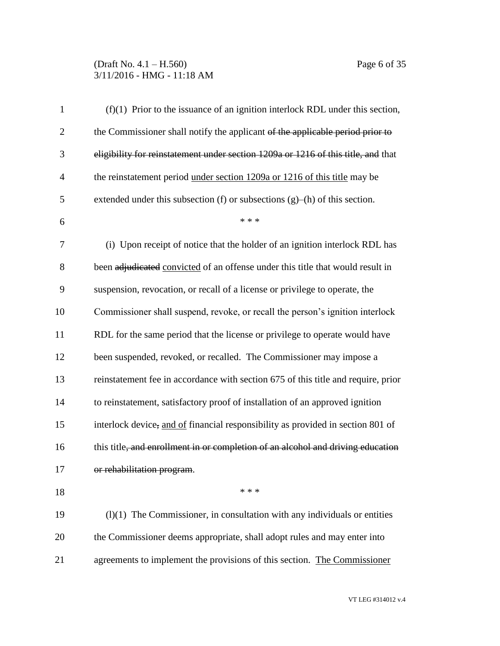# (Draft No. 4.1 – H.560) Page 6 of 35 3/11/2016 - HMG - 11:18 AM

| $\mathbf{1}$   | $(f)(1)$ Prior to the issuance of an ignition interlock RDL under this section,   |
|----------------|-----------------------------------------------------------------------------------|
| $\mathbf{2}$   | the Commissioner shall notify the applicant of the applicable period prior to     |
| 3              | eligibility for reinstatement under section 1209a or 1216 of this title, and that |
| $\overline{4}$ | the reinstatement period under section 1209a or 1216 of this title may be         |
| 5              | extended under this subsection (f) or subsections $(g)$ –(h) of this section.     |
| 6              | * * *                                                                             |
| 7              | (i) Upon receipt of notice that the holder of an ignition interlock RDL has       |
| 8              | been adjudicated convicted of an offense under this title that would result in    |
| 9              | suspension, revocation, or recall of a license or privilege to operate, the       |
| 10             | Commissioner shall suspend, revoke, or recall the person's ignition interlock     |
| 11             | RDL for the same period that the license or privilege to operate would have       |
| 12             | been suspended, revoked, or recalled. The Commissioner may impose a               |
| 13             | reinstatement fee in accordance with section 675 of this title and require, prior |
| 14             | to reinstatement, satisfactory proof of installation of an approved ignition      |
| 15             | interlock device, and of financial responsibility as provided in section 801 of   |
| 16             | this title, and enrollment in or completion of an alcohol and driving education   |
| 17             | or rehabilitation program.                                                        |
| 18             | * * *                                                                             |
| 19             | $(1)(1)$ The Commissioner, in consultation with any individuals or entities       |
| 20             | the Commissioner deems appropriate, shall adopt rules and may enter into          |
| 21             | agreements to implement the provisions of this section. The Commissioner          |

VT LEG #314012 v.4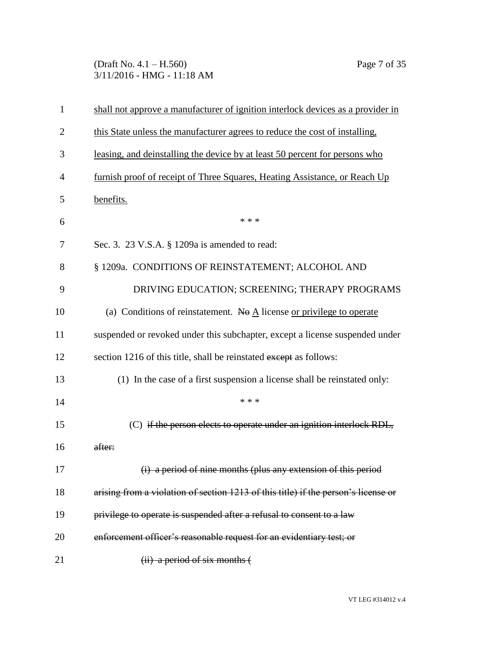(Draft No. 4.1 – H.560) Page 7 of 35 3/11/2016 - HMG - 11:18 AM

| $\mathbf{1}$   | shall not approve a manufacturer of ignition interlock devices as a provider in     |
|----------------|-------------------------------------------------------------------------------------|
| $\overline{2}$ | this State unless the manufacturer agrees to reduce the cost of installing.         |
| 3              | leasing, and deinstalling the device by at least 50 percent for persons who         |
| 4              | furnish proof of receipt of Three Squares, Heating Assistance, or Reach Up          |
| 5              | benefits.                                                                           |
| 6              | * * *                                                                               |
| 7              | Sec. 3. 23 V.S.A. § 1209a is amended to read:                                       |
| 8              | § 1209a. CONDITIONS OF REINSTATEMENT; ALCOHOL AND                                   |
| 9              | DRIVING EDUCATION; SCREENING; THERAPY PROGRAMS                                      |
| 10             | (a) Conditions of reinstatement. No $\underline{A}$ license or privilege to operate |
| 11             | suspended or revoked under this subchapter, except a license suspended under        |
| 12             | section 1216 of this title, shall be reinstated except as follows:                  |
| 13             | (1) In the case of a first suspension a license shall be reinstated only:           |
| 14             | * * *                                                                               |
| 15             | (C) if the person elects to operate under an ignition interlock RDL,                |
| 16             | after:                                                                              |
| 17             | (i) a period of nine months (plus any extension of this period                      |
| 18             | arising from a violation of section 1213 of this title) if the person's license or  |
| 19             | privilege to operate is suspended after a refusal to consent to a law               |
| 20             | enforcement officer's reasonable request for an evidentiary test; or                |
| 21             | (ii) a period of six months (                                                       |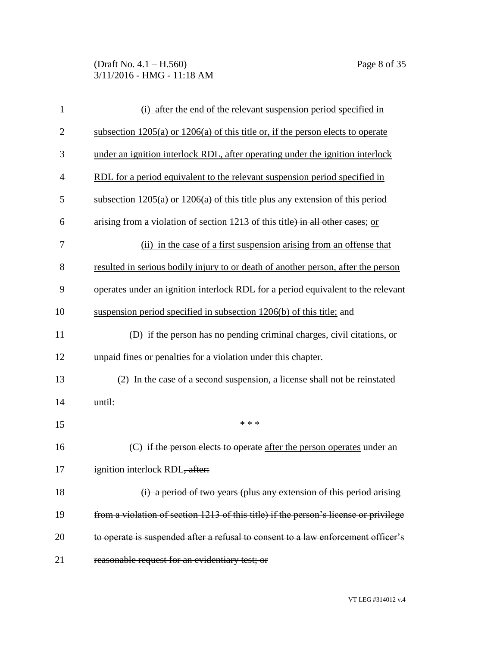(Draft No. 4.1 – H.560) Page 8 of 35 3/11/2016 - HMG - 11:18 AM

| 1              | (i) after the end of the relevant suspension period specified in                     |
|----------------|--------------------------------------------------------------------------------------|
| $\overline{2}$ | subsection $1205(a)$ or $1206(a)$ of this title or, if the person elects to operate  |
| 3              | under an ignition interlock RDL, after operating under the ignition interlock        |
| 4              | RDL for a period equivalent to the relevant suspension period specified in           |
| 5              | subsection $1205(a)$ or $1206(a)$ of this title plus any extension of this period    |
| 6              | arising from a violation of section 1213 of this title) in all other cases; or       |
| 7              | (ii) in the case of a first suspension arising from an offense that                  |
| 8              | resulted in serious bodily injury to or death of another person, after the person    |
| 9              | operates under an ignition interlock RDL for a period equivalent to the relevant     |
| 10             | suspension period specified in subsection 1206(b) of this title; and                 |
| 11             | (D) if the person has no pending criminal charges, civil citations, or               |
| 12             | unpaid fines or penalties for a violation under this chapter.                        |
| 13             | (2) In the case of a second suspension, a license shall not be reinstated            |
| 14             | until:                                                                               |
| 15             | * * *                                                                                |
| 16             | (C) if the person elects to operate after the person operates under an               |
| 17             | ignition interlock RDL, after:                                                       |
| 18             | (i) a period of two years (plus any extension of this period arising                 |
| 19             | from a violation of section 1213 of this title) if the person's license or privilege |
| 20             | to operate is suspended after a refusal to consent to a law enforcement officer's    |
| 21             | reasonable request for an evidentiary test; or                                       |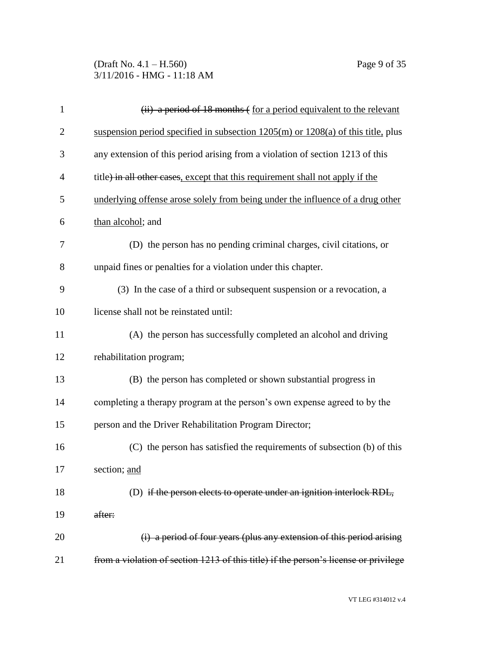# (Draft No. 4.1 – H.560) Page 9 of 35 3/11/2016 - HMG - 11:18 AM

| $\mathbf{1}$   | $(ii)$ a period of 18 months $\epsilon$ for a period equivalent to the relevant      |
|----------------|--------------------------------------------------------------------------------------|
| $\overline{2}$ | suspension period specified in subsection $1205(m)$ or $1208(a)$ of this title, plus |
| 3              | any extension of this period arising from a violation of section 1213 of this        |
| 4              | title) in all other cases, except that this requirement shall not apply if the       |
| 5              | underlying offense arose solely from being under the influence of a drug other       |
| 6              | than alcohol; and                                                                    |
| 7              | (D) the person has no pending criminal charges, civil citations, or                  |
| 8              | unpaid fines or penalties for a violation under this chapter.                        |
| 9              | (3) In the case of a third or subsequent suspension or a revocation, a               |
| 10             | license shall not be reinstated until:                                               |
| 11             | (A) the person has successfully completed an alcohol and driving                     |
| 12             | rehabilitation program;                                                              |
| 13             | (B) the person has completed or shown substantial progress in                        |
| 14             | completing a therapy program at the person's own expense agreed to by the            |
| 15             | person and the Driver Rehabilitation Program Director;                               |
| 16             | (C) the person has satisfied the requirements of subsection (b) of this              |
| 17             | section; and                                                                         |
| 18             | (D) if the person elects to operate under an ignition interlock RDL,                 |
| 19             | after:                                                                               |
| 20             | (i) a period of four years (plus any extension of this period arising                |
| 21             | from a violation of section 1213 of this title) if the person's license or privilege |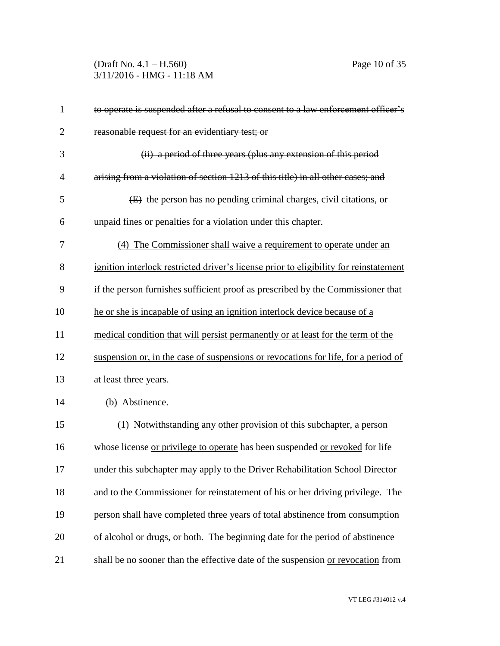(Draft No. 4.1 – H.560) Page 10 of 35 3/11/2016 - HMG - 11:18 AM

| $\mathbf{1}$   | to operate is suspended after a refusal to consent to a law enforcement officer's     |
|----------------|---------------------------------------------------------------------------------------|
| $\overline{2}$ | reasonable request for an evidentiary test; or                                        |
| 3              | (ii) a period of three years (plus any extension of this period                       |
| $\overline{4}$ | arising from a violation of section 1213 of this title) in all other cases; and       |
| 5              | (E) the person has no pending criminal charges, civil citations, or                   |
| 6              | unpaid fines or penalties for a violation under this chapter.                         |
| 7              | (4) The Commissioner shall waive a requirement to operate under an                    |
| 8              | ignition interlock restricted driver's license prior to eligibility for reinstatement |
| 9              | if the person furnishes sufficient proof as prescribed by the Commissioner that       |
| 10             | he or she is incapable of using an ignition interlock device because of a             |
| 11             | medical condition that will persist permanently or at least for the term of the       |
| 12             | suspension or, in the case of suspensions or revocations for life, for a period of    |
| 13             | at least three years.                                                                 |
| 14             | (b) Abstinence.                                                                       |
| 15             | (1) Notwithstanding any other provision of this subchapter, a person                  |
| 16             | whose license or privilege to operate has been suspended or revoked for life          |
| 17             | under this subchapter may apply to the Driver Rehabilitation School Director          |
| 18             | and to the Commissioner for reinstatement of his or her driving privilege. The        |
| 19             | person shall have completed three years of total abstinence from consumption          |
| 20             | of alcohol or drugs, or both. The beginning date for the period of abstinence         |
| 21             | shall be no sooner than the effective date of the suspension or revocation from       |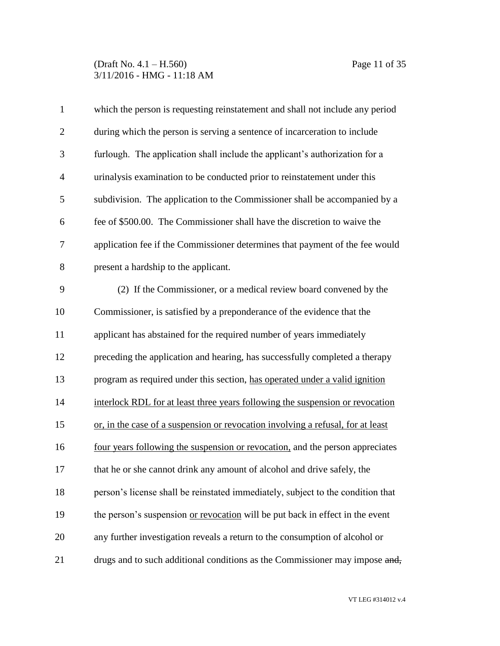# (Draft No. 4.1 – H.560) Page 11 of 35 3/11/2016 - HMG - 11:18 AM

| $\mathbf{1}$   | which the person is requesting reinstatement and shall not include any period   |
|----------------|---------------------------------------------------------------------------------|
| $\overline{2}$ | during which the person is serving a sentence of incarceration to include       |
| 3              | furlough. The application shall include the applicant's authorization for a     |
| $\overline{4}$ | urinalysis examination to be conducted prior to reinstatement under this        |
| 5              | subdivision. The application to the Commissioner shall be accompanied by a      |
| 6              | fee of \$500.00. The Commissioner shall have the discretion to waive the        |
| 7              | application fee if the Commissioner determines that payment of the fee would    |
| 8              | present a hardship to the applicant.                                            |
| 9              | (2) If the Commissioner, or a medical review board convened by the              |
| 10             | Commissioner, is satisfied by a preponderance of the evidence that the          |
| 11             | applicant has abstained for the required number of years immediately            |
| 12             | preceding the application and hearing, has successfully completed a therapy     |
| 13             | program as required under this section, has operated under a valid ignition     |
| 14             | interlock RDL for at least three years following the suspension or revocation   |
| 15             | or, in the case of a suspension or revocation involving a refusal, for at least |
| 16             | four years following the suspension or revocation, and the person appreciates   |
| 17             | that he or she cannot drink any amount of alcohol and drive safely, the         |
| 18             | person's license shall be reinstated immediately, subject to the condition that |
| 19             | the person's suspension or revocation will be put back in effect in the event   |
| 20             | any further investigation reveals a return to the consumption of alcohol or     |
| 21             | drugs and to such additional conditions as the Commissioner may impose and,     |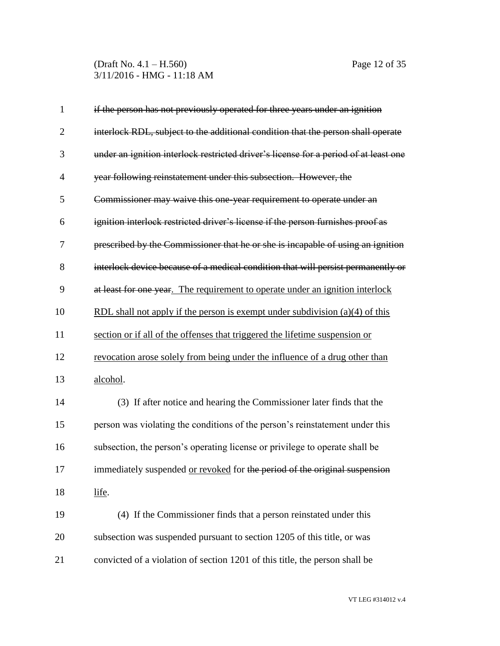(Draft No. 4.1 – H.560) Page 12 of 35 3/11/2016 - HMG - 11:18 AM

| $\mathbf{1}$   | if the person has not previously operated for three years under an ignition                      |
|----------------|--------------------------------------------------------------------------------------------------|
| $\overline{2}$ | interlock RDL, subject to the additional condition that the person shall operate                 |
| 3              | under an ignition interlock restricted driver's license for a period of at least one             |
| $\overline{4}$ | year following reinstatement under this subsection. However, the                                 |
| 5              | Commissioner may waive this one year requirement to operate under an                             |
| 6              | ignition interlock restricted driver's license if the person furnishes proof as                  |
| 7              | prescribed by the Commissioner that he or she is incapable of using an ignition                  |
| 8              | interlock device because of a medical condition that will persist permanently or                 |
| 9              | at least for one year. The requirement to operate under an ignition interlock                    |
| 10             | <u>RDL shall not apply if the person is exempt under subdivision <math>(a)(4)</math> of this</u> |
| 11             | section or if all of the offenses that triggered the lifetime suspension or                      |
| 12             | revocation arose solely from being under the influence of a drug other than                      |
| 13             | alcohol.                                                                                         |
| 14             | (3) If after notice and hearing the Commissioner later finds that the                            |
| 15             | person was violating the conditions of the person's reinstatement under this                     |
| 16             | subsection, the person's operating license or privilege to operate shall be                      |
| 17             | immediately suspended or revoked for the period of the original suspension                       |
| 18             | life.                                                                                            |
| 19             | (4) If the Commissioner finds that a person reinstated under this                                |
| 20             | subsection was suspended pursuant to section 1205 of this title, or was                          |
| 21             | convicted of a violation of section 1201 of this title, the person shall be                      |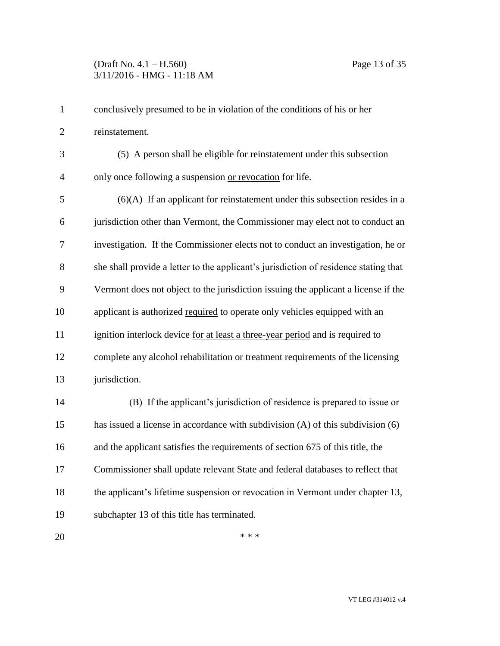# (Draft No. 4.1 – H.560) Page 13 of 35 3/11/2016 - HMG - 11:18 AM

| 1              | conclusively presumed to be in violation of the conditions of his or her             |
|----------------|--------------------------------------------------------------------------------------|
| $\mathbf{2}$   | reinstatement.                                                                       |
| 3              | (5) A person shall be eligible for reinstatement under this subsection               |
| $\overline{4}$ | only once following a suspension or revocation for life.                             |
| 5              | $(6)(A)$ If an applicant for reinstatement under this subsection resides in a        |
| 6              | jurisdiction other than Vermont, the Commissioner may elect not to conduct an        |
| 7              | investigation. If the Commissioner elects not to conduct an investigation, he or     |
| 8              | she shall provide a letter to the applicant's jurisdiction of residence stating that |
| 9              | Vermont does not object to the jurisdiction issuing the applicant a license if the   |
| 10             | applicant is authorized required to operate only vehicles equipped with an           |
| 11             | ignition interlock device for at least a three-year period and is required to        |
| 12             | complete any alcohol rehabilitation or treatment requirements of the licensing       |
| 13             | jurisdiction.                                                                        |
| 14             | (B) If the applicant's jurisdiction of residence is prepared to issue or             |
| 15             | has issued a license in accordance with subdivision (A) of this subdivision (6)      |
| 16             | and the applicant satisfies the requirements of section 675 of this title, the       |
| 17             | Commissioner shall update relevant State and federal databases to reflect that       |
| 18             | the applicant's lifetime suspension or revocation in Vermont under chapter 13,       |
| 19             | subchapter 13 of this title has terminated.                                          |
| 20             | * * *                                                                                |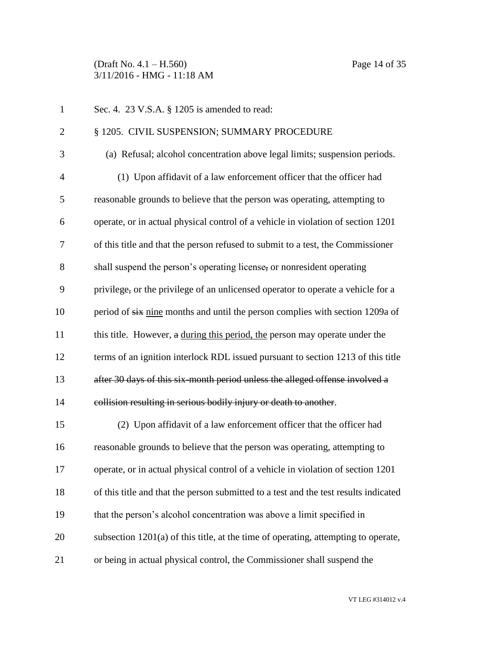(Draft No. 4.1 – H.560) Page 14 of 35 3/11/2016 - HMG - 11:18 AM

| $\mathbf{1}$   | Sec. 4. 23 V.S.A. § 1205 is amended to read:                                         |
|----------------|--------------------------------------------------------------------------------------|
| $\overline{2}$ | § 1205. CIVIL SUSPENSION; SUMMARY PROCEDURE                                          |
| 3              | (a) Refusal; alcohol concentration above legal limits; suspension periods.           |
| $\overline{4}$ | (1) Upon affidavit of a law enforcement officer that the officer had                 |
| 5              | reasonable grounds to believe that the person was operating, attempting to           |
| 6              | operate, or in actual physical control of a vehicle in violation of section 1201     |
| 7              | of this title and that the person refused to submit to a test, the Commissioner      |
| 8              | shall suspend the person's operating license, or nonresident operating               |
| 9              | privilege, or the privilege of an unlicensed operator to operate a vehicle for a     |
| 10             | period of six nine months and until the person complies with section 1209a of        |
| 11             | this title. However, a during this period, the person may operate under the          |
| 12             | terms of an ignition interlock RDL issued pursuant to section 1213 of this title     |
| 13             | after 30 days of this six-month period unless the alleged offense involved a         |
| 14             | collision resulting in serious bodily injury or death to another.                    |
| 15             | (2) Upon affidavit of a law enforcement officer that the officer had                 |
| 16             | reasonable grounds to believe that the person was operating, attempting to           |
| 17             | operate, or in actual physical control of a vehicle in violation of section 1201     |
| 18             | of this title and that the person submitted to a test and the test results indicated |
| 19             | that the person's alcohol concentration was above a limit specified in               |
| 20             | subsection $1201(a)$ of this title, at the time of operating, attempting to operate, |
| 21             | or being in actual physical control, the Commissioner shall suspend the              |

VT LEG #314012 v.4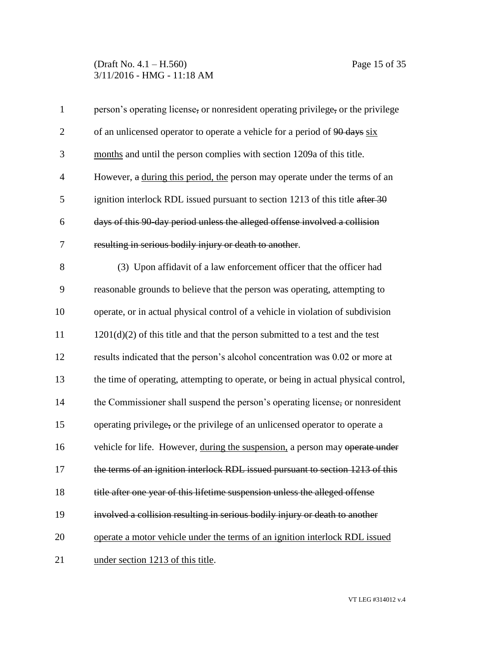# (Draft No. 4.1 – H.560) Page 15 of 35 3/11/2016 - HMG - 11:18 AM

| $\mathbf{1}$   | person's operating license, or nonresident operating privilege, or the privilege   |
|----------------|------------------------------------------------------------------------------------|
| $\overline{2}$ | of an unlicensed operator to operate a vehicle for a period of 90 days six         |
| 3              | months and until the person complies with section 1209a of this title.             |
| $\overline{4}$ | However, a during this period, the person may operate under the terms of an        |
| 5              | ignition interlock RDL issued pursuant to section 1213 of this title after 30      |
| 6              | days of this 90 day period unless the alleged offense involved a collision         |
| 7              | resulting in serious bodily injury or death to another.                            |
| 8              | (3) Upon affidavit of a law enforcement officer that the officer had               |
| 9              | reasonable grounds to believe that the person was operating, attempting to         |
| 10             | operate, or in actual physical control of a vehicle in violation of subdivision    |
| 11             | $1201(d)(2)$ of this title and that the person submitted to a test and the test    |
| 12             | results indicated that the person's alcohol concentration was 0.02 or more at      |
| 13             | the time of operating, attempting to operate, or being in actual physical control, |
| 14             | the Commissioner shall suspend the person's operating license, or nonresident      |
| 15             | operating privilege, or the privilege of an unlicensed operator to operate a       |
| 16             | vehicle for life. However, during the suspension, a person may operate under       |
| 17             | the terms of an ignition interlock RDL issued pursuant to section 1213 of this     |
| 18             | title after one year of this lifetime suspension unless the alleged offense        |
| 19             | involved a collision resulting in serious bodily injury or death to another        |
| 20             | operate a motor vehicle under the terms of an ignition interlock RDL issued        |
| 21             | under section 1213 of this title.                                                  |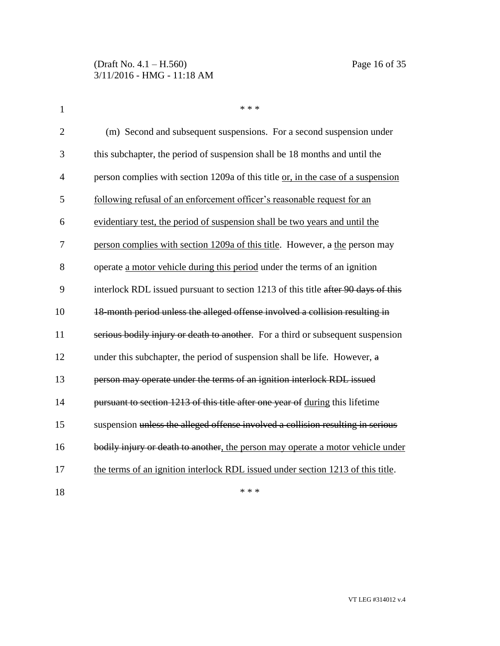| $\mathbf{1}$   | * * *                                                                             |
|----------------|-----------------------------------------------------------------------------------|
| $\overline{2}$ | (m) Second and subsequent suspensions. For a second suspension under              |
| 3              | this subchapter, the period of suspension shall be 18 months and until the        |
| $\overline{4}$ | person complies with section 1209a of this title or, in the case of a suspension  |
| 5              | following refusal of an enforcement officer's reasonable request for an           |
| 6              | evidentiary test, the period of suspension shall be two years and until the       |
| 7              | person complies with section 1209a of this title. However, a the person may       |
| 8              | operate a motor vehicle during this period under the terms of an ignition         |
| 9              | interlock RDL issued pursuant to section 1213 of this title after 90 days of this |
| 10             | 18-month period unless the alleged offense involved a collision resulting in      |
| 11             | serious bodily injury or death to another. For a third or subsequent suspension   |
| 12             | under this subchapter, the period of suspension shall be life. However, a         |
| 13             | person may operate under the terms of an ignition interlock RDL issued            |
| 14             | pursuant to section 1213 of this title after one year of during this lifetime     |
| 15             | suspension unless the alleged offense involved a collision resulting in serious   |
| 16             | bodily injury or death to another, the person may operate a motor vehicle under   |
| 17             | the terms of an ignition interlock RDL issued under section 1213 of this title.   |
| 18             | * * *                                                                             |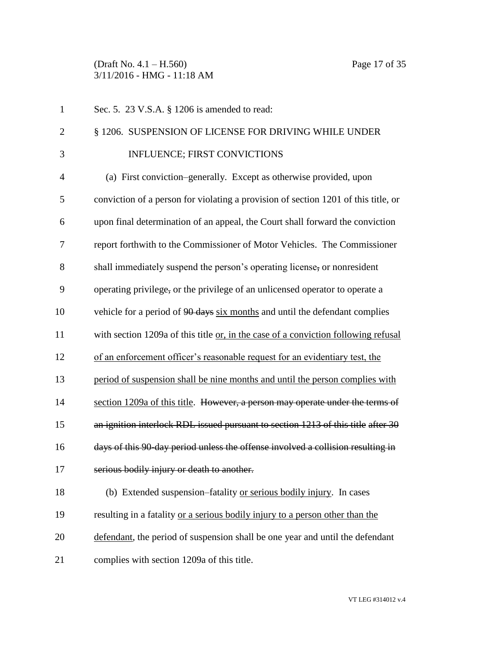(Draft No. 4.1 – H.560) Page 17 of 35 3/11/2016 - HMG - 11:18 AM

| $\mathbf 1$    | Sec. 5. 23 V.S.A. § 1206 is amended to read:                                       |
|----------------|------------------------------------------------------------------------------------|
| $\overline{2}$ | § 1206. SUSPENSION OF LICENSE FOR DRIVING WHILE UNDER                              |
| 3              | <b>INFLUENCE; FIRST CONVICTIONS</b>                                                |
| $\overline{4}$ | (a) First conviction–generally. Except as otherwise provided, upon                 |
| 5              | conviction of a person for violating a provision of section 1201 of this title, or |
| 6              | upon final determination of an appeal, the Court shall forward the conviction      |
| 7              | report forthwith to the Commissioner of Motor Vehicles. The Commissioner           |
| 8              | shall immediately suspend the person's operating license, or nonresident           |
| 9              | operating privilege, or the privilege of an unlicensed operator to operate a       |
| 10             | vehicle for a period of 90 days six months and until the defendant complies        |
| 11             | with section 1209a of this title or, in the case of a conviction following refusal |
| 12             | of an enforcement officer's reasonable request for an evidentiary test, the        |
| 13             | period of suspension shall be nine months and until the person complies with       |
| 14             | section 1209a of this title. However, a person may operate under the terms of      |
| 15             | an ignition interlock RDL issued pursuant to section 1213 of this title after 30   |
| 16             | days of this 90 day period unless the offense involved a collision resulting in    |
| 17             | serious bodily injury or death to another.                                         |
| 18             | (b) Extended suspension–fatality or serious bodily injury. In cases                |
| 19             | resulting in a fatality or a serious bodily injury to a person other than the      |
| 20             | defendant, the period of suspension shall be one year and until the defendant      |
| 21             | complies with section 1209a of this title.                                         |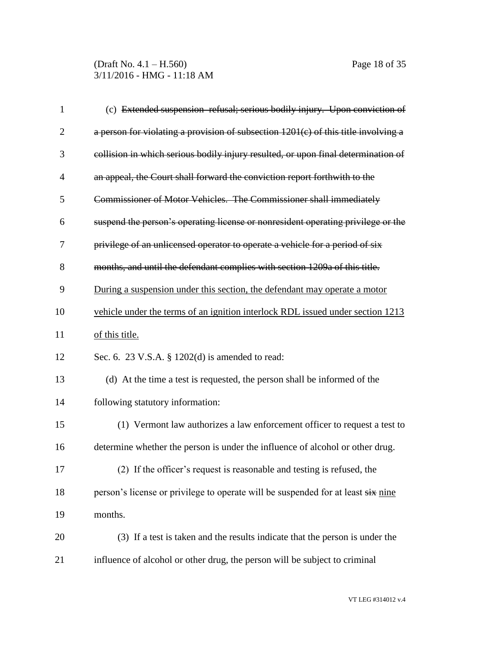(Draft No. 4.1 – H.560) Page 18 of 35 3/11/2016 - HMG - 11:18 AM

| $\mathbf{1}$   | (c) Extended suspension-refusal; serious bodily injury. Upon conviction of           |
|----------------|--------------------------------------------------------------------------------------|
| $\overline{2}$ | a person for violating a provision of subsection $1201(c)$ of this title involving a |
| 3              | collision in which serious bodily injury resulted, or upon final determination of    |
| 4              | an appeal, the Court shall forward the conviction report forthwith to the            |
| 5              | Commissioner of Motor Vehicles. The Commissioner shall immediately                   |
| 6              | suspend the person's operating license or nonresident operating privilege or the     |
| 7              | privilege of an unlicensed operator to operate a vehicle for a period of six         |
| 8              | months, and until the defendant complies with section 1209a of this title.           |
| 9              | During a suspension under this section, the defendant may operate a motor            |
| 10             | vehicle under the terms of an ignition interlock RDL issued under section 1213       |
| 11             | of this title.                                                                       |
| 12             | Sec. 6. 23 V.S.A. $\S$ 1202(d) is amended to read:                                   |
| 13             | (d) At the time a test is requested, the person shall be informed of the             |
| 14             | following statutory information:                                                     |
| 15             | (1) Vermont law authorizes a law enforcement officer to request a test to            |
| 16             | determine whether the person is under the influence of alcohol or other drug.        |
| 17             | (2) If the officer's request is reasonable and testing is refused, the               |
| 18             | person's license or privilege to operate will be suspended for at least six nine     |
| 19             | months.                                                                              |
| 20             | (3) If a test is taken and the results indicate that the person is under the         |
| 21             | influence of alcohol or other drug, the person will be subject to criminal           |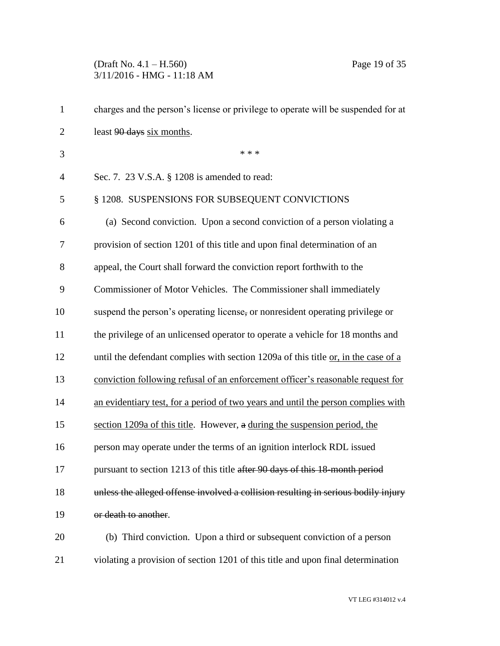# (Draft No. 4.1 – H.560) Page 19 of 35 3/11/2016 - HMG - 11:18 AM

| $\mathbf{1}$   | charges and the person's license or privilege to operate will be suspended for at  |
|----------------|------------------------------------------------------------------------------------|
| $\overline{2}$ | least 90 days six months.                                                          |
| 3              | * * *                                                                              |
| $\overline{4}$ | Sec. 7. 23 V.S.A. § 1208 is amended to read:                                       |
| 5              | § 1208. SUSPENSIONS FOR SUBSEQUENT CONVICTIONS                                     |
| 6              | (a) Second conviction. Upon a second conviction of a person violating a            |
| 7              | provision of section 1201 of this title and upon final determination of an         |
| 8              | appeal, the Court shall forward the conviction report forthwith to the             |
| 9              | Commissioner of Motor Vehicles. The Commissioner shall immediately                 |
| 10             | suspend the person's operating license, or nonresident operating privilege or      |
| 11             | the privilege of an unlicensed operator to operate a vehicle for 18 months and     |
| 12             | until the defendant complies with section 1209a of this title or, in the case of a |
| 13             | conviction following refusal of an enforcement officer's reasonable request for    |
| 14             | an evidentiary test, for a period of two years and until the person complies with  |
| 15             | section 1209a of this title. However, a during the suspension period, the          |
| 16             | person may operate under the terms of an ignition interlock RDL issued             |
| 17             | pursuant to section 1213 of this title after 90 days of this 18-month period       |
| 18             | unless the alleged offense involved a collision resulting in serious bodily injury |
| 19             | or death to another.                                                               |
| 20             | (b) Third conviction. Upon a third or subsequent conviction of a person            |
| 21             | violating a provision of section 1201 of this title and upon final determination   |

VT LEG #314012 v.4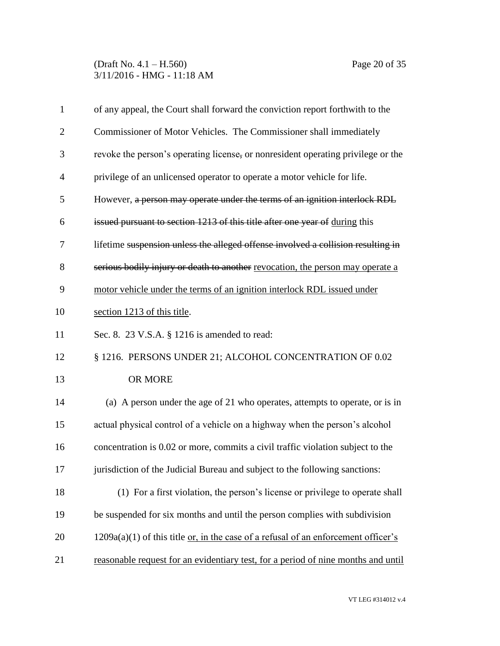(Draft No. 4.1 – H.560) Page 20 of 35 3/11/2016 - HMG - 11:18 AM

| $\mathbf{1}$   | of any appeal, the Court shall forward the conviction report forthwith to the        |
|----------------|--------------------------------------------------------------------------------------|
| $\overline{2}$ | Commissioner of Motor Vehicles. The Commissioner shall immediately                   |
| 3              | revoke the person's operating license, or nonresident operating privilege or the     |
| $\overline{4}$ | privilege of an unlicensed operator to operate a motor vehicle for life.             |
| 5              | However, a person may operate under the terms of an ignition interlock RDL           |
| 6              | issued pursuant to section 1213 of this title after one year of during this          |
| 7              | lifetime suspension unless the alleged offense involved a collision resulting in     |
| 8              | serious bodily injury or death to another revocation, the person may operate a       |
| 9              | motor vehicle under the terms of an ignition interlock RDL issued under              |
| 10             | section 1213 of this title.                                                          |
| 11             | Sec. 8. 23 V.S.A. § 1216 is amended to read:                                         |
| 12             | § 1216. PERSONS UNDER 21; ALCOHOL CONCENTRATION OF 0.02                              |
| 13             | OR MORE                                                                              |
| 14             | (a) A person under the age of 21 who operates, attempts to operate, or is in         |
| 15             | actual physical control of a vehicle on a highway when the person's alcohol          |
| 16             | concentration is 0.02 or more, commits a civil traffic violation subject to the      |
| 17             | jurisdiction of the Judicial Bureau and subject to the following sanctions:          |
| 18             | (1) For a first violation, the person's license or privilege to operate shall        |
| 19             | be suspended for six months and until the person complies with subdivision           |
| 20             | $1209a(a)(1)$ of this title or, in the case of a refusal of an enforcement officer's |
| 21             | reasonable request for an evidentiary test, for a period of nine months and until    |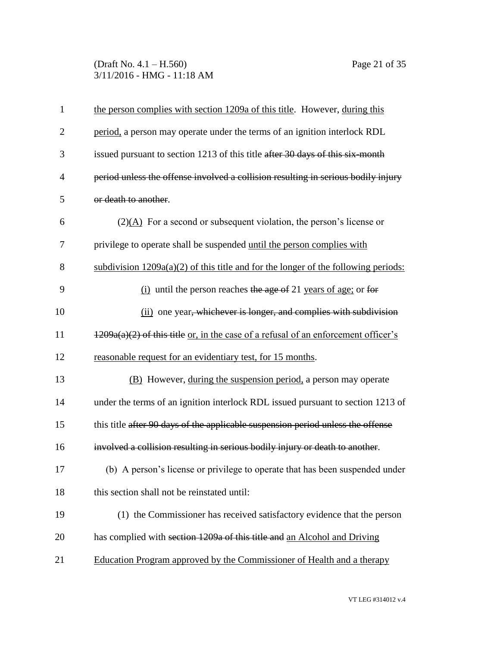# (Draft No. 4.1 – H.560) Page 21 of 35 3/11/2016 - HMG - 11:18 AM

| $\mathbf{1}$   | the person complies with section 1209a of this title. However, during this           |
|----------------|--------------------------------------------------------------------------------------|
| $\overline{2}$ | period, a person may operate under the terms of an ignition interlock RDL            |
| 3              | issued pursuant to section 1213 of this title after 30 days of this six month        |
| $\overline{4}$ | period unless the offense involved a collision resulting in serious bodily injury    |
| 5              | or death to another.                                                                 |
| 6              | $(2)(A)$ For a second or subsequent violation, the person's license or               |
| 7              | privilege to operate shall be suspended until the person complies with               |
| 8              | subdivision $1209a(a)(2)$ of this title and for the longer of the following periods: |
| 9              | $(i)$ until the person reaches the age of 21 years of age; or for                    |
| 10             | (ii) one year, whichever is longer, and complies with subdivision                    |
| 11             | $1209a(a)(2)$ of this title or, in the case of a refusal of an enforcement officer's |
| 12             | reasonable request for an evidentiary test, for 15 months.                           |
| 13             | (B) However, during the suspension period, a person may operate                      |
| 14             | under the terms of an ignition interlock RDL issued pursuant to section 1213 of      |
| 15             | this title after 90 days of the applicable suspension period unless the offense      |
| 16             | involved a collision resulting in serious bodily injury or death to another.         |
| 17             | (b) A person's license or privilege to operate that has been suspended under         |
| 18             | this section shall not be reinstated until:                                          |
| 19             | (1) the Commissioner has received satisfactory evidence that the person              |
| 20             | has complied with section 1209a of this title and an Alcohol and Driving             |
| 21             | Education Program approved by the Commissioner of Health and a therapy               |
|                |                                                                                      |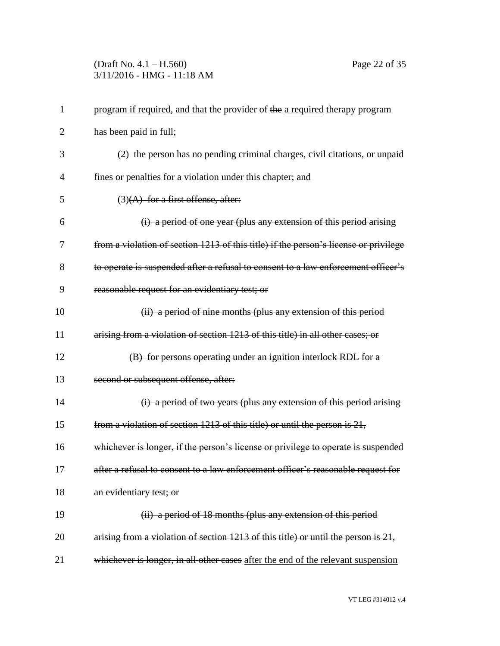# (Draft No. 4.1 – H.560) Page 22 of 35 3/11/2016 - HMG - 11:18 AM

| 1              | program if required, and that the provider of the a required therapy program         |
|----------------|--------------------------------------------------------------------------------------|
| $\overline{2}$ | has been paid in full;                                                               |
| 3              | (2) the person has no pending criminal charges, civil citations, or unpaid           |
| $\overline{4}$ | fines or penalties for a violation under this chapter; and                           |
| 5              | (3)(A) for a first offense, after:                                                   |
| 6              | (i) a period of one year (plus any extension of this period arising                  |
| 7              | from a violation of section 1213 of this title) if the person's license or privilege |
| 8              | to operate is suspended after a refusal to consent to a law enforcement officer's    |
| 9              | reasonable request for an evidentiary test; or                                       |
| 10             | (ii) a period of nine months (plus any extension of this period                      |
| 11             | arising from a violation of section 1213 of this title) in all other cases; or       |
| 12             | (B) for persons operating under an ignition interlock RDL for a                      |
| 13             | second or subsequent offense, after:                                                 |
| 14             | (i) a period of two years (plus any extension of this period arising                 |
| 15             | from a violation of section 1213 of this title) or until the person is 21,           |
| 16             | whichever is longer, if the person's license or privilege to operate is suspended    |
| 17             | after a refusal to consent to a law enforcement officer's reasonable request for     |
| 18             | an evidentiary test; or                                                              |
| 19             | (ii) a period of 18 months (plus any extension of this period                        |
| 20             | arising from a violation of section 1213 of this title) or until the person is 21,   |
| 21             | whichever is longer, in all other cases after the end of the relevant suspension     |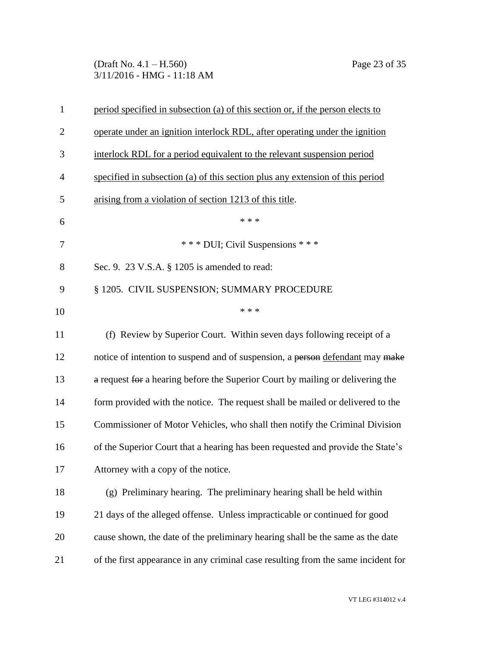# (Draft No. 4.1 – H.560) Page 23 of 35 3/11/2016 - HMG - 11:18 AM

| $\mathbf{1}$   | period specified in subsection (a) of this section or, if the person elects to    |
|----------------|-----------------------------------------------------------------------------------|
| $\overline{2}$ | operate under an ignition interlock RDL, after operating under the ignition       |
| 3              | interlock RDL for a period equivalent to the relevant suspension period           |
| 4              | specified in subsection (a) of this section plus any extension of this period     |
| 5              | arising from a violation of section 1213 of this title.                           |
| 6              | * * *                                                                             |
| 7              | *** DUI; Civil Suspensions ***                                                    |
| 8              | Sec. 9. 23 V.S.A. § 1205 is amended to read:                                      |
| 9              | § 1205. CIVIL SUSPENSION; SUMMARY PROCEDURE                                       |
| 10             | * * *                                                                             |
| 11             | (f) Review by Superior Court. Within seven days following receipt of a            |
| 12             | notice of intention to suspend and of suspension, a person defendant may make     |
| 13             | a request for a hearing before the Superior Court by mailing or delivering the    |
| 14             | form provided with the notice. The request shall be mailed or delivered to the    |
| 15             | Commissioner of Motor Vehicles, who shall then notify the Criminal Division       |
| 16             | of the Superior Court that a hearing has been requested and provide the State's   |
| 17             | Attorney with a copy of the notice.                                               |
| 18             | (g) Preliminary hearing. The preliminary hearing shall be held within             |
| 19             | 21 days of the alleged offense. Unless impracticable or continued for good        |
| 20             | cause shown, the date of the preliminary hearing shall be the same as the date    |
| 21             | of the first appearance in any criminal case resulting from the same incident for |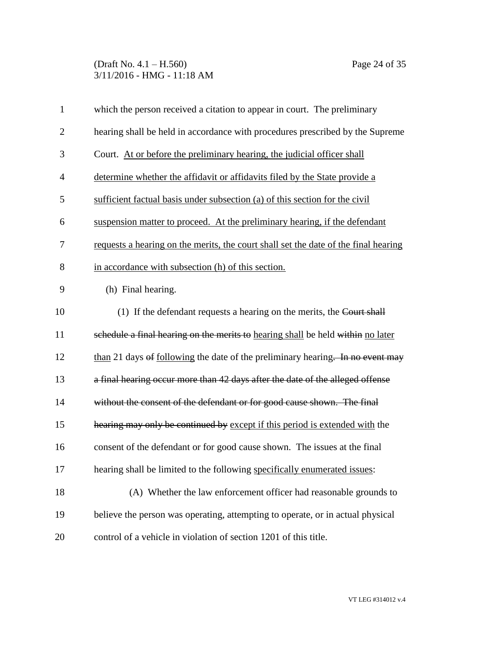(Draft No. 4.1 – H.560) Page 24 of 35 3/11/2016 - HMG - 11:18 AM

| $\mathbf{1}$   | which the person received a citation to appear in court. The preliminary            |
|----------------|-------------------------------------------------------------------------------------|
| $\overline{2}$ | hearing shall be held in accordance with procedures prescribed by the Supreme       |
| 3              | Court. At or before the preliminary hearing, the judicial officer shall             |
| $\overline{4}$ | determine whether the affidavit or affidavits filed by the State provide a          |
| 5              | sufficient factual basis under subsection (a) of this section for the civil         |
| 6              | suspension matter to proceed. At the preliminary hearing, if the defendant          |
| 7              | requests a hearing on the merits, the court shall set the date of the final hearing |
| 8              | in accordance with subsection (h) of this section.                                  |
| 9              | (h) Final hearing.                                                                  |
| 10             | (1) If the defendant requests a hearing on the merits, the Court shall              |
| 11             | schedule a final hearing on the merits to hearing shall be held within no later     |
| 12             | than 21 days of following the date of the preliminary hearing. In no event may      |
| 13             | a final hearing occur more than 42 days after the date of the alleged offense       |
| 14             | without the consent of the defendant or for good cause shown. The final             |
| 15             | hearing may only be continued by except if this period is extended with the         |
| 16             | consent of the defendant or for good cause shown. The issues at the final           |
| 17             | hearing shall be limited to the following specifically enumerated issues:           |
| 18             | (A) Whether the law enforcement officer had reasonable grounds to                   |
| 19             | believe the person was operating, attempting to operate, or in actual physical      |
| 20             | control of a vehicle in violation of section 1201 of this title.                    |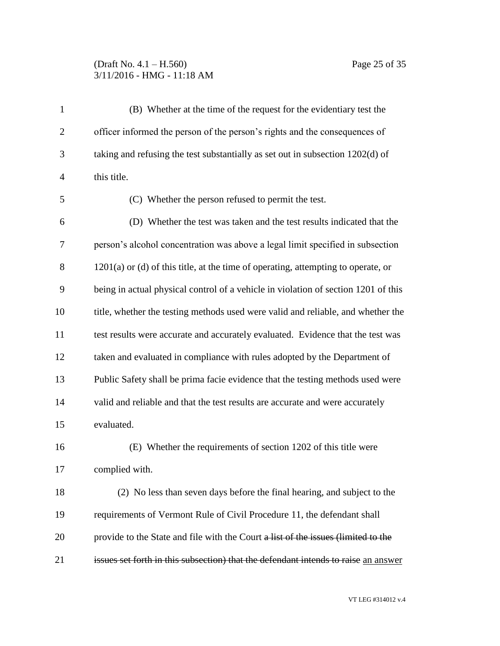# (Draft No. 4.1 – H.560) Page 25 of 35 3/11/2016 - HMG - 11:18 AM

| $\mathbf{1}$   | (B) Whether at the time of the request for the evidentiary test the                 |  |  |
|----------------|-------------------------------------------------------------------------------------|--|--|
| $\overline{2}$ | officer informed the person of the person's rights and the consequences of          |  |  |
| 3              | taking and refusing the test substantially as set out in subsection 1202(d) of      |  |  |
| $\overline{4}$ | this title.                                                                         |  |  |
| 5              | (C) Whether the person refused to permit the test.                                  |  |  |
| 6              | (D) Whether the test was taken and the test results indicated that the              |  |  |
| 7              | person's alcohol concentration was above a legal limit specified in subsection      |  |  |
| 8              | $1201(a)$ or (d) of this title, at the time of operating, attempting to operate, or |  |  |
| 9              | being in actual physical control of a vehicle in violation of section 1201 of this  |  |  |
| 10             | title, whether the testing methods used were valid and reliable, and whether the    |  |  |
| 11             | test results were accurate and accurately evaluated. Evidence that the test was     |  |  |
| 12             | taken and evaluated in compliance with rules adopted by the Department of           |  |  |
| 13             | Public Safety shall be prima facie evidence that the testing methods used were      |  |  |
| 14             | valid and reliable and that the test results are accurate and were accurately       |  |  |
| 15             | evaluated.                                                                          |  |  |
| 16             | (E) Whether the requirements of section 1202 of this title were                     |  |  |
| 17             | complied with.                                                                      |  |  |
| 18             | (2) No less than seven days before the final hearing, and subject to the            |  |  |
| 19             | requirements of Vermont Rule of Civil Procedure 11, the defendant shall             |  |  |
| 20             | provide to the State and file with the Court a list of the issues (limited to the   |  |  |
| 21             | issues set forth in this subsection) that the defendant intends to raise an answer  |  |  |

VT LEG #314012 v.4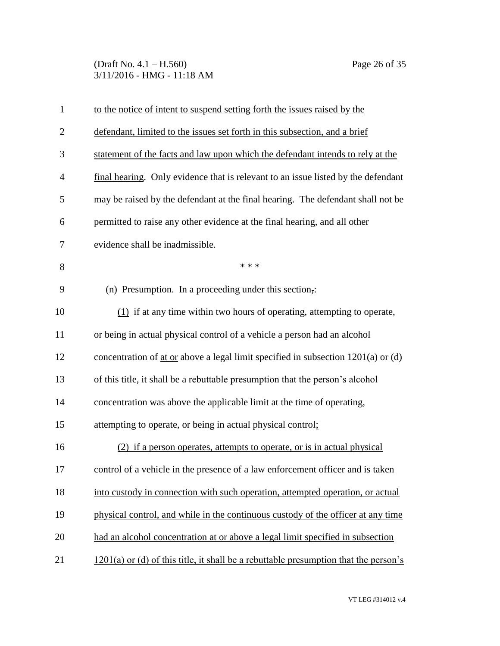(Draft No. 4.1 – H.560) Page 26 of 35 3/11/2016 - HMG - 11:18 AM

| $\mathbf{1}$   | to the notice of intent to suspend setting forth the issues raised by the                 |  |
|----------------|-------------------------------------------------------------------------------------------|--|
| $\overline{2}$ | defendant, limited to the issues set forth in this subsection, and a brief                |  |
| 3              | statement of the facts and law upon which the defendant intends to rely at the            |  |
| $\overline{4}$ | final hearing. Only evidence that is relevant to an issue listed by the defendant         |  |
| 5              | may be raised by the defendant at the final hearing. The defendant shall not be           |  |
| 6              | permitted to raise any other evidence at the final hearing, and all other                 |  |
| 7              | evidence shall be inadmissible.                                                           |  |
| 8              | * * *                                                                                     |  |
| 9              | (n) Presumption. In a proceeding under this section,:                                     |  |
| 10             | $(1)$ if at any time within two hours of operating, attempting to operate,                |  |
| 11             | or being in actual physical control of a vehicle a person had an alcohol                  |  |
| 12             | concentration $\theta f$ at or above a legal limit specified in subsection 1201(a) or (d) |  |
| 13             | of this title, it shall be a rebuttable presumption that the person's alcohol             |  |
| 14             | concentration was above the applicable limit at the time of operating,                    |  |
| 15             | attempting to operate, or being in actual physical control;                               |  |
| 16             | (2) if a person operates, attempts to operate, or is in actual physical                   |  |
| 17             | control of a vehicle in the presence of a law enforcement officer and is taken            |  |
| 18             | into custody in connection with such operation, attempted operation, or actual            |  |
| 19             | physical control, and while in the continuous custody of the officer at any time          |  |
| 20             | had an alcohol concentration at or above a legal limit specified in subsection            |  |
| 21             | $1201(a)$ or (d) of this title, it shall be a rebuttable presumption that the person's    |  |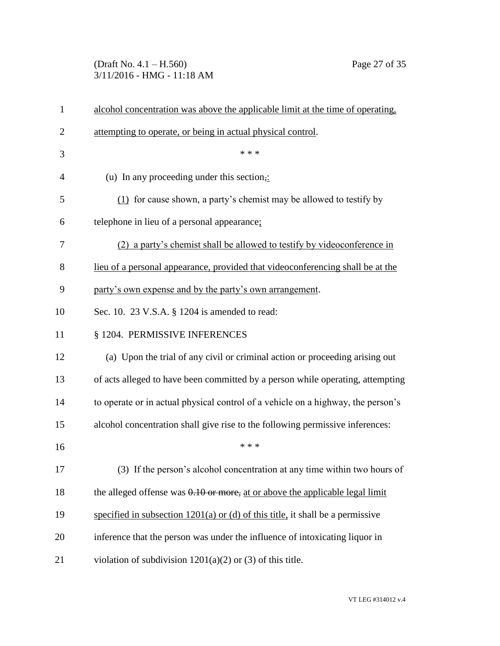# (Draft No. 4.1 – H.560) Page 27 of 35 3/11/2016 - HMG - 11:18 AM

| $\mathbf{1}$   | alcohol concentration was above the applicable limit at the time of operating.   |  |  |
|----------------|----------------------------------------------------------------------------------|--|--|
| $\overline{2}$ | attempting to operate, or being in actual physical control.                      |  |  |
| 3              | * * *                                                                            |  |  |
| 4              | (u) In any proceeding under this section,:                                       |  |  |
| 5              | $(1)$ for cause shown, a party's chemist may be allowed to testify by            |  |  |
| 6              | telephone in lieu of a personal appearance;                                      |  |  |
| 7              | (2) a party's chemist shall be allowed to testify by videoconference in          |  |  |
| 8              | lieu of a personal appearance, provided that videoconferencing shall be at the   |  |  |
| 9              | party's own expense and by the party's own arrangement.                          |  |  |
| 10             | Sec. 10. 23 V.S.A. § 1204 is amended to read:                                    |  |  |
| 11             | § 1204. PERMISSIVE INFERENCES                                                    |  |  |
| 12             | (a) Upon the trial of any civil or criminal action or proceeding arising out     |  |  |
| 13             | of acts alleged to have been committed by a person while operating, attempting   |  |  |
| 14             | to operate or in actual physical control of a vehicle on a highway, the person's |  |  |
| 15             | alcohol concentration shall give rise to the following permissive inferences:    |  |  |
| 16             | * * *                                                                            |  |  |
| 17             | (3) If the person's alcohol concentration at any time within two hours of        |  |  |
| 18             | the alleged offense was $0.10$ or more, at or above the applicable legal limit   |  |  |
| 19             | specified in subsection $1201(a)$ or (d) of this title, it shall be a permissive |  |  |
| 20             | inference that the person was under the influence of intoxicating liquor in      |  |  |
| 21             | violation of subdivision $1201(a)(2)$ or (3) of this title.                      |  |  |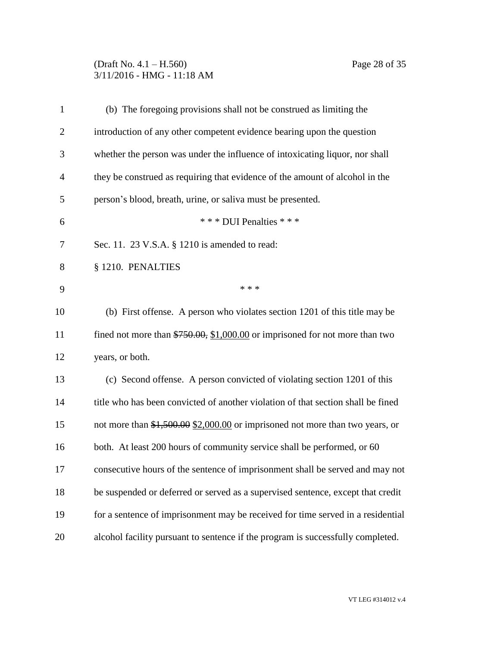# (Draft No. 4.1 – H.560) Page 28 of 35 3/11/2016 - HMG - 11:18 AM

| $\mathbf{1}$   | (b) The foregoing provisions shall not be construed as limiting the              |  |
|----------------|----------------------------------------------------------------------------------|--|
| $\overline{2}$ | introduction of any other competent evidence bearing upon the question           |  |
| 3              | whether the person was under the influence of intoxicating liquor, nor shall     |  |
| $\overline{4}$ | they be construed as requiring that evidence of the amount of alcohol in the     |  |
| 5              | person's blood, breath, urine, or saliva must be presented.                      |  |
| 6              | *** DUI Penalties ***                                                            |  |
| 7              | Sec. 11. 23 V.S.A. § 1210 is amended to read:                                    |  |
| 8              | § 1210. PENALTIES                                                                |  |
| 9              | * * *                                                                            |  |
| 10             | (b) First offense. A person who violates section 1201 of this title may be       |  |
| 11             | fined not more than $$750.00, $1,000.00$ or imprisoned for not more than two     |  |
| 12             | years, or both.                                                                  |  |
| 13             | (c) Second offense. A person convicted of violating section 1201 of this         |  |
| 14             | title who has been convicted of another violation of that section shall be fined |  |
| 15             | not more than $$1,500.00$ $$2,000.00$ or imprisoned not more than two years, or  |  |
| 16             | both. At least 200 hours of community service shall be performed, or 60          |  |
| 17             | consecutive hours of the sentence of imprisonment shall be served and may not    |  |
| 18             | be suspended or deferred or served as a supervised sentence, except that credit  |  |
| 19             | for a sentence of imprisonment may be received for time served in a residential  |  |
| 20             | alcohol facility pursuant to sentence if the program is successfully completed.  |  |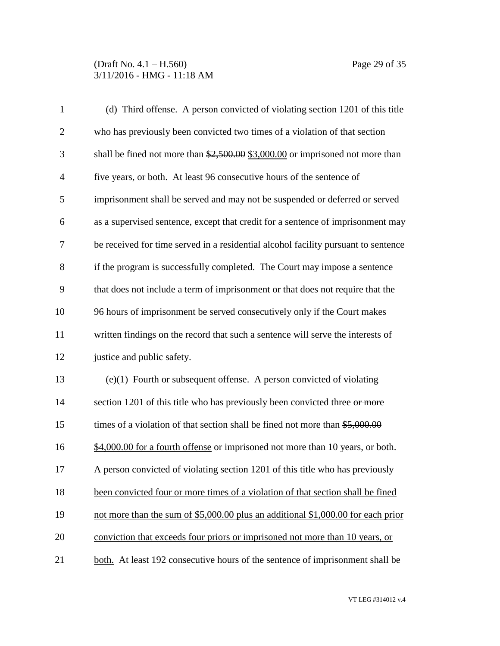# (Draft No. 4.1 – H.560) Page 29 of 35 3/11/2016 - HMG - 11:18 AM

| $\mathbf{1}$   | (d) Third offense. A person convicted of violating section 1201 of this title         |
|----------------|---------------------------------------------------------------------------------------|
| $\overline{2}$ | who has previously been convicted two times of a violation of that section            |
| 3              | shall be fined not more than $\frac{2,500,00}{2,3000,00}$ or imprisoned not more than |
| $\overline{4}$ | five years, or both. At least 96 consecutive hours of the sentence of                 |
| 5              | imprisonment shall be served and may not be suspended or deferred or served           |
| 6              | as a supervised sentence, except that credit for a sentence of imprisonment may       |
| $\overline{7}$ | be received for time served in a residential alcohol facility pursuant to sentence    |
| 8              | if the program is successfully completed. The Court may impose a sentence             |
| 9              | that does not include a term of imprisonment or that does not require that the        |
| 10             | 96 hours of imprisonment be served consecutively only if the Court makes              |
| 11             | written findings on the record that such a sentence will serve the interests of       |
| 12             | justice and public safety.                                                            |
| 13             | $(e)(1)$ Fourth or subsequent offense. A person convicted of violating                |
| 14             | section 1201 of this title who has previously been convicted three or more            |
| 15             | times of a violation of that section shall be fined not more than $$5,000.00$         |
| 16             | \$4,000.00 for a fourth offense or imprisoned not more than 10 years, or both.        |
| 17             | A person convicted of violating section 1201 of this title who has previously         |
| 18             | been convicted four or more times of a violation of that section shall be fined       |
| 19             | not more than the sum of \$5,000.00 plus an additional \$1,000.00 for each prior      |
| 20             | conviction that exceeds four priors or imprisoned not more than 10 years, or          |
| 21             | both. At least 192 consecutive hours of the sentence of imprisonment shall be         |

VT LEG #314012 v.4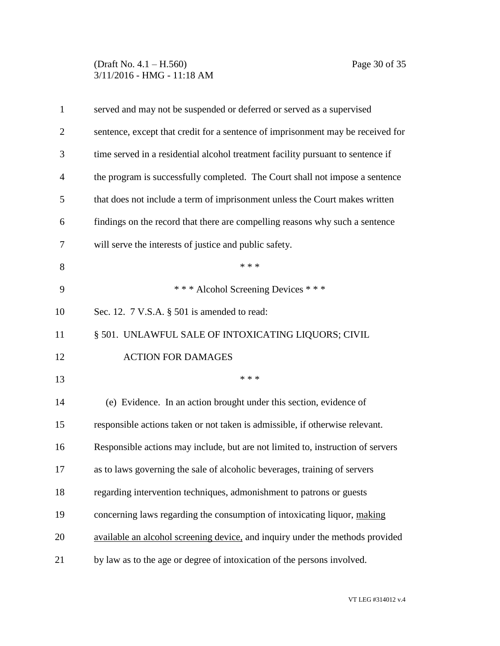# (Draft No. 4.1 – H.560) Page 30 of 35 3/11/2016 - HMG - 11:18 AM

| $\mathbf{1}$   | served and may not be suspended or deferred or served as a supervised           |  |  |
|----------------|---------------------------------------------------------------------------------|--|--|
| $\overline{2}$ | sentence, except that credit for a sentence of imprisonment may be received for |  |  |
| 3              | time served in a residential alcohol treatment facility pursuant to sentence if |  |  |
| 4              | the program is successfully completed. The Court shall not impose a sentence    |  |  |
| 5              | that does not include a term of imprisonment unless the Court makes written     |  |  |
| 6              | findings on the record that there are compelling reasons why such a sentence    |  |  |
| 7              | will serve the interests of justice and public safety.                          |  |  |
| 8              | * * *                                                                           |  |  |
| 9              | *** Alcohol Screening Devices ***                                               |  |  |
| 10             | Sec. 12. 7 V.S.A. § 501 is amended to read:                                     |  |  |
| 11             | § 501. UNLAWFUL SALE OF INTOXICATING LIQUORS; CIVIL                             |  |  |
| 12             | <b>ACTION FOR DAMAGES</b>                                                       |  |  |
| 13             | * * *                                                                           |  |  |
| 14             | (e) Evidence. In an action brought under this section, evidence of              |  |  |
| 15             | responsible actions taken or not taken is admissible, if otherwise relevant.    |  |  |
| 16             | Responsible actions may include, but are not limited to, instruction of servers |  |  |
| 17             | as to laws governing the sale of alcoholic beverages, training of servers       |  |  |
| 18             | regarding intervention techniques, admonishment to patrons or guests            |  |  |
| 19             | concerning laws regarding the consumption of intoxicating liquor, making        |  |  |
| 20             | available an alcohol screening device, and inquiry under the methods provided   |  |  |
| 21             | by law as to the age or degree of intoxication of the persons involved.         |  |  |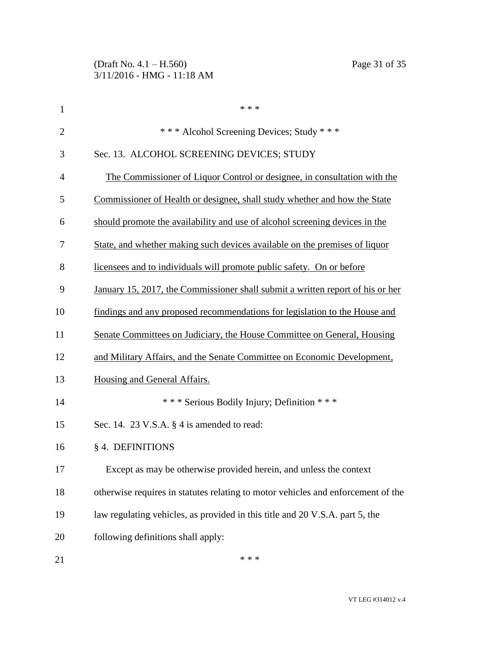| $\mathbf{1}$   | * * *                                                                            |  |
|----------------|----------------------------------------------------------------------------------|--|
| $\overline{2}$ | *** Alcohol Screening Devices; Study ***                                         |  |
| 3              | Sec. 13. ALCOHOL SCREENING DEVICES; STUDY                                        |  |
| 4              | The Commissioner of Liquor Control or designee, in consultation with the         |  |
| 5              | Commissioner of Health or designee, shall study whether and how the State        |  |
| 6              | should promote the availability and use of alcohol screening devices in the      |  |
| 7              | State, and whether making such devices available on the premises of liquor       |  |
| 8              | licensees and to individuals will promote public safety. On or before            |  |
| 9              | January 15, 2017, the Commissioner shall submit a written report of his or her   |  |
| 10             | findings and any proposed recommendations for legislation to the House and       |  |
| 11             | Senate Committees on Judiciary, the House Committee on General, Housing          |  |
| 12             | and Military Affairs, and the Senate Committee on Economic Development,          |  |
| 13             | Housing and General Affairs.                                                     |  |
| 14             | *** Serious Bodily Injury; Definition ***                                        |  |
| 15             | Sec. 14. 23 V.S.A. § 4 is amended to read:                                       |  |
| 16             | § 4. DEFINITIONS                                                                 |  |
| 17             | Except as may be otherwise provided herein, and unless the context               |  |
| 18             | otherwise requires in statutes relating to motor vehicles and enforcement of the |  |
| 19             | law regulating vehicles, as provided in this title and 20 V.S.A. part 5, the     |  |
| 20             | following definitions shall apply:                                               |  |
| 21             | * * *                                                                            |  |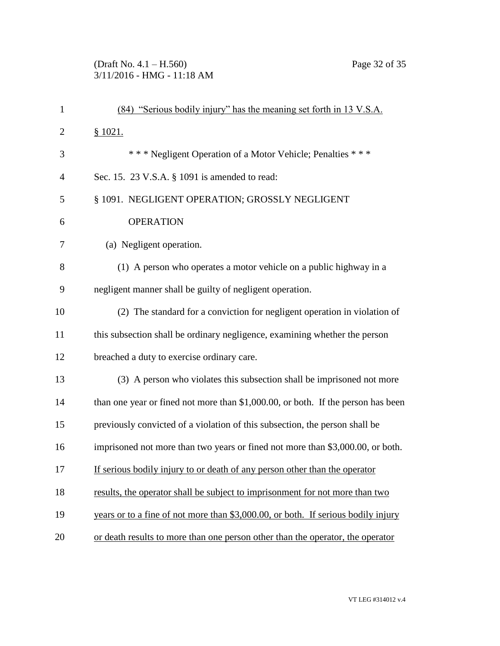# (Draft No. 4.1 – H.560) Page 32 of 35 3/11/2016 - HMG - 11:18 AM

| $\mathbf{1}$   | (84) "Serious bodily injury" has the meaning set forth in 13 V.S.A.               |  |  |
|----------------|-----------------------------------------------------------------------------------|--|--|
| $\overline{2}$ | \$1021.                                                                           |  |  |
| 3              | *** Negligent Operation of a Motor Vehicle; Penalties ***                         |  |  |
| $\overline{4}$ | Sec. 15. 23 V.S.A. § 1091 is amended to read:                                     |  |  |
| 5              | § 1091. NEGLIGENT OPERATION; GROSSLY NEGLIGENT                                    |  |  |
| 6              | <b>OPERATION</b>                                                                  |  |  |
| 7              | (a) Negligent operation.                                                          |  |  |
| 8              | (1) A person who operates a motor vehicle on a public highway in a                |  |  |
| 9              | negligent manner shall be guilty of negligent operation.                          |  |  |
| 10             | (2) The standard for a conviction for negligent operation in violation of         |  |  |
| 11             | this subsection shall be ordinary negligence, examining whether the person        |  |  |
| 12             | breached a duty to exercise ordinary care.                                        |  |  |
| 13             | (3) A person who violates this subsection shall be imprisoned not more            |  |  |
| 14             | than one year or fined not more than \$1,000.00, or both. If the person has been  |  |  |
| 15             | previously convicted of a violation of this subsection, the person shall be       |  |  |
| 16             | imprisoned not more than two years or fined not more than \$3,000.00, or both.    |  |  |
| 17             | If serious bodily injury to or death of any person other than the operator        |  |  |
| 18             | results, the operator shall be subject to imprisonment for not more than two      |  |  |
| 19             | years or to a fine of not more than \$3,000.00, or both. If serious bodily injury |  |  |
| 20             | or death results to more than one person other than the operator, the operator    |  |  |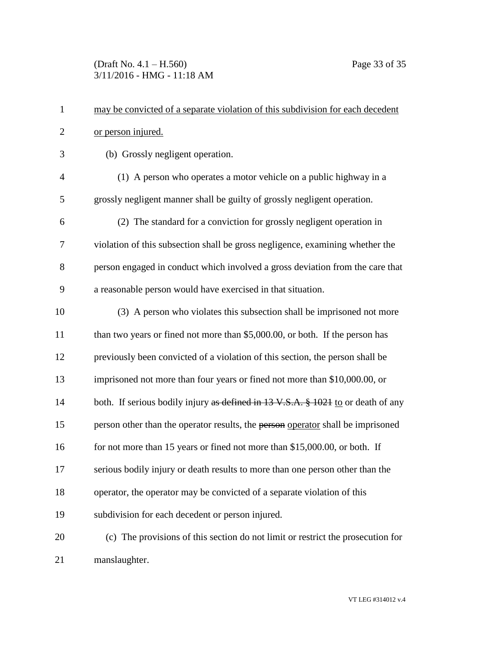(Draft No. 4.1 – H.560) Page 33 of 35 3/11/2016 - HMG - 11:18 AM

| $\mathbf{1}$   | may be convicted of a separate violation of this subdivision for each decedent   |  |  |
|----------------|----------------------------------------------------------------------------------|--|--|
| $\mathbf{2}$   | or person injured.                                                               |  |  |
| 3              | (b) Grossly negligent operation.                                                 |  |  |
| $\overline{4}$ | (1) A person who operates a motor vehicle on a public highway in a               |  |  |
| 5              | grossly negligent manner shall be guilty of grossly negligent operation.         |  |  |
| 6              | (2) The standard for a conviction for grossly negligent operation in             |  |  |
| 7              | violation of this subsection shall be gross negligence, examining whether the    |  |  |
| 8              | person engaged in conduct which involved a gross deviation from the care that    |  |  |
| 9              | a reasonable person would have exercised in that situation.                      |  |  |
| 10             | (3) A person who violates this subsection shall be imprisoned not more           |  |  |
| 11             | than two years or fined not more than \$5,000.00, or both. If the person has     |  |  |
| 12             | previously been convicted of a violation of this section, the person shall be    |  |  |
| 13             | imprisoned not more than four years or fined not more than \$10,000.00, or       |  |  |
| 14             | both. If serious bodily injury as defined in 13 V.S.A. § 1021 to or death of any |  |  |
| 15             | person other than the operator results, the person operator shall be imprisoned  |  |  |
| 16             | for not more than 15 years or fined not more than \$15,000.00, or both. If       |  |  |
| 17             | serious bodily injury or death results to more than one person other than the    |  |  |
| 18             | operator, the operator may be convicted of a separate violation of this          |  |  |
| 19             | subdivision for each decedent or person injured.                                 |  |  |
| 20             | (c) The provisions of this section do not limit or restrict the prosecution for  |  |  |
| 21             | manslaughter.                                                                    |  |  |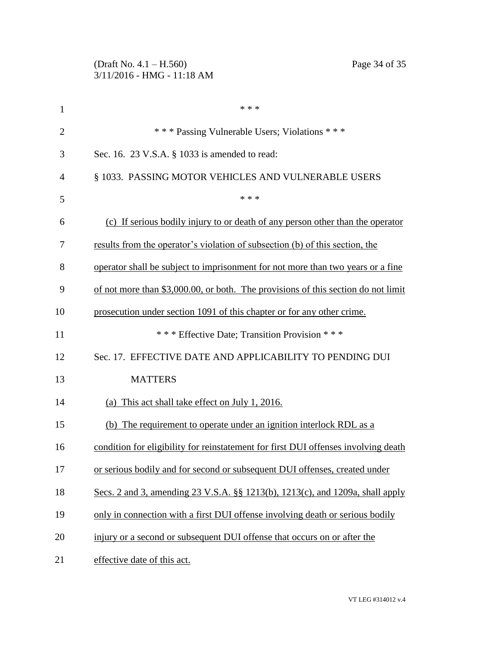|                | (Draft No. $4.1 - H.560$ )<br>Page 34 of 35<br>3/11/2016 - HMG - 11:18 AM          |  |  |
|----------------|------------------------------------------------------------------------------------|--|--|
| $\mathbf{1}$   | * * *                                                                              |  |  |
| $\overline{2}$ | *** Passing Vulnerable Users; Violations ***                                       |  |  |
| 3              | Sec. 16. 23 V.S.A. § 1033 is amended to read:                                      |  |  |
| $\overline{4}$ | § 1033. PASSING MOTOR VEHICLES AND VULNERABLE USERS                                |  |  |
| 5              | * * *                                                                              |  |  |
| 6              | (c) If serious bodily injury to or death of any person other than the operator     |  |  |
| 7              | results from the operator's violation of subsection (b) of this section, the       |  |  |
| 8              | operator shall be subject to imprisonment for not more than two years or a fine    |  |  |
| 9              | of not more than \$3,000.00, or both. The provisions of this section do not limit  |  |  |
| 10             | prosecution under section 1091 of this chapter or for any other crime.             |  |  |
| 11             | *** Effective Date; Transition Provision ***                                       |  |  |
| 12             | Sec. 17. EFFECTIVE DATE AND APPLICABILITY TO PENDING DUI                           |  |  |
| 13             | <b>MATTERS</b>                                                                     |  |  |
| 14             | (a) This act shall take effect on July 1, 2016.                                    |  |  |
| 15             | (b) The requirement to operate under an ignition interlock RDL as a                |  |  |
| 16             | condition for eligibility for reinstatement for first DUI offenses involving death |  |  |
| 17             | or serious bodily and for second or subsequent DUI offenses, created under         |  |  |
| 18             | Secs. 2 and 3, amending 23 V.S.A. §§ 1213(b), 1213(c), and 1209a, shall apply      |  |  |
| 19             | only in connection with a first DUI offense involving death or serious bodily      |  |  |
| 20             | injury or a second or subsequent DUI offense that occurs on or after the           |  |  |
| 21             | effective date of this act.                                                        |  |  |